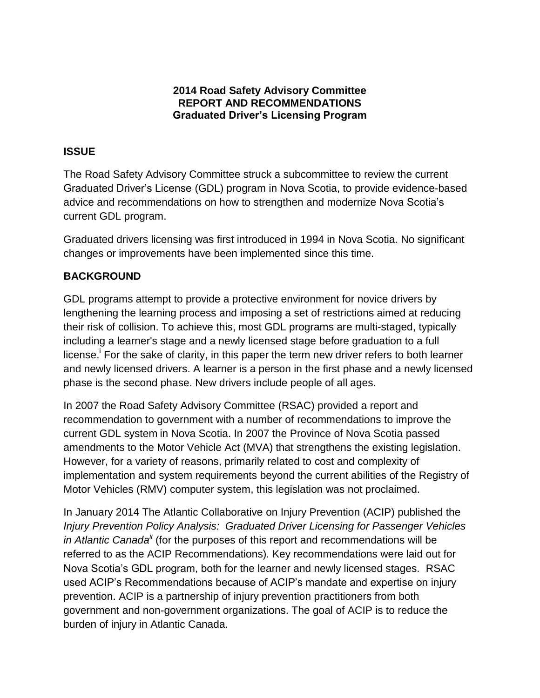## **2014 Road Safety Advisory Committee REPORT AND RECOMMENDATIONS Graduated Driver's Licensing Program**

# **ISSUE**

The Road Safety Advisory Committee struck a subcommittee to review the current Graduated Driver's License (GDL) program in Nova Scotia, to provide evidence-based advice and recommendations on how to strengthen and modernize Nova Scotia's current GDL program.

Graduated drivers licensing was first introduced in 1994 in Nova Scotia. No significant changes or improvements have been implemented since this time.

# **BACKGROUND**

GDL programs attempt to provide a protective environment for novice drivers by lengthening the learning process and imposing a set of restrictions aimed at reducing their risk of collision. To achieve this, most GDL programs are multi-staged, typically including a learner's stage and a newly licensed stage before graduation to a full license.<sup>i</sup> For the sake of clarity, in this paper the term new driver refers to both learner and newly licensed drivers. A learner is a person in the first phase and a newly licensed phase is the second phase. New drivers include people of all ages.

In 2007 the Road Safety Advisory Committee (RSAC) provided a report and recommendation to government with a number of recommendations to improve the current GDL system in Nova Scotia. In 2007 the Province of Nova Scotia passed amendments to the Motor Vehicle Act (MVA) that strengthens the existing legislation. However, for a variety of reasons, primarily related to cost and complexity of implementation and system requirements beyond the current abilities of the Registry of Motor Vehicles (RMV) computer system, this legislation was not proclaimed.

In January 2014 The Atlantic Collaborative on Injury Prevention (ACIP) published the *Injury Prevention Policy Analysis: Graduated Driver Licensing for Passenger Vehicles in Atlantic Canada<sup>ii</sup>* (for the purposes of this report and recommendations will be referred to as the ACIP Recommendations)*.* Key recommendations were laid out for Nova Scotia's GDL program, both for the learner and newly licensed stages. RSAC used ACIP's Recommendations because of ACIP's mandate and expertise on injury prevention. ACIP is a partnership of injury prevention practitioners from both government and non-government organizations. The goal of ACIP is to reduce the burden of injury in Atlantic Canada.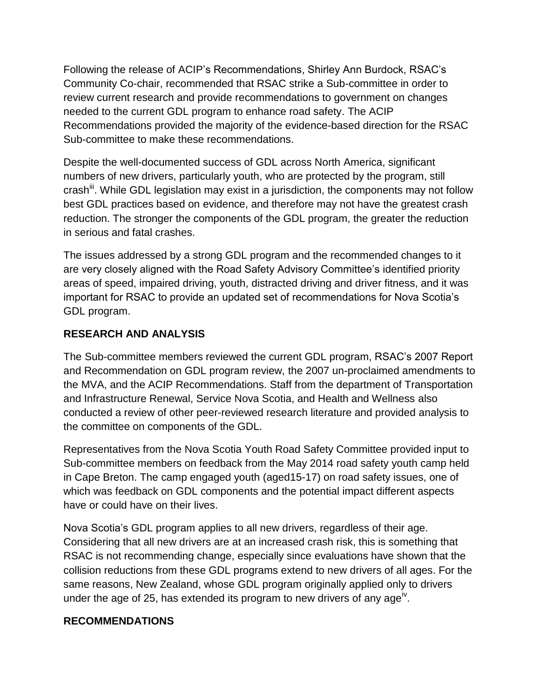Following the release of ACIP's Recommendations, Shirley Ann Burdock, RSAC's Community Co-chair, recommended that RSAC strike a Sub-committee in order to review current research and provide recommendations to government on changes needed to the current GDL program to enhance road safety. The ACIP Recommendations provided the majority of the evidence-based direction for the RSAC Sub-committee to make these recommendations.

Despite the well-documented success of GDL across North America, significant numbers of new drivers, particularly youth, who are protected by the program, still crash<sup>iii</sup>. While GDL legislation may exist in a jurisdiction, the components may not follow best GDL practices based on evidence, and therefore may not have the greatest crash reduction. The stronger the components of the GDL program, the greater the reduction in serious and fatal crashes.

The issues addressed by a strong GDL program and the recommended changes to it are very closely aligned with the Road Safety Advisory Committee's identified priority areas of speed, impaired driving, youth, distracted driving and driver fitness, and it was important for RSAC to provide an updated set of recommendations for Nova Scotia's GDL program.

## **RESEARCH AND ANALYSIS**

The Sub-committee members reviewed the current GDL program, RSAC's 2007 Report and Recommendation on GDL program review, the 2007 un-proclaimed amendments to the MVA, and the ACIP Recommendations. Staff from the department of Transportation and Infrastructure Renewal, Service Nova Scotia, and Health and Wellness also conducted a review of other peer-reviewed research literature and provided analysis to the committee on components of the GDL.

Representatives from the Nova Scotia Youth Road Safety Committee provided input to Sub-committee members on feedback from the May 2014 road safety youth camp held in Cape Breton. The camp engaged youth (aged15-17) on road safety issues, one of which was feedback on GDL components and the potential impact different aspects have or could have on their lives.

Nova Scotia's GDL program applies to all new drivers, regardless of their age. Considering that all new drivers are at an increased crash risk, this is something that RSAC is not recommending change, especially since evaluations have shown that the collision reductions from these GDL programs extend to new drivers of all ages. For the same reasons, New Zealand, whose GDL program originally applied only to drivers under the age of 25, has extended its program to new drivers of any age<sup>iv</sup>.

### **RECOMMENDATIONS**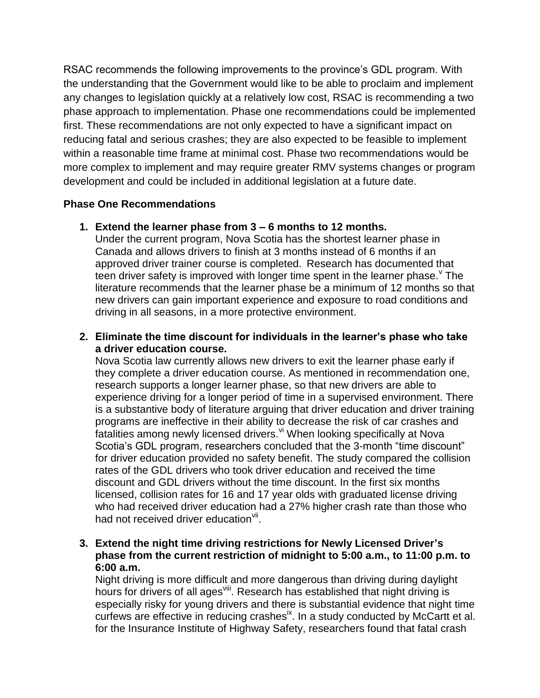RSAC recommends the following improvements to the province's GDL program. With the understanding that the Government would like to be able to proclaim and implement any changes to legislation quickly at a relatively low cost, RSAC is recommending a two phase approach to implementation. Phase one recommendations could be implemented first. These recommendations are not only expected to have a significant impact on reducing fatal and serious crashes; they are also expected to be feasible to implement within a reasonable time frame at minimal cost. Phase two recommendations would be more complex to implement and may require greater RMV systems changes or program development and could be included in additional legislation at a future date.

### **Phase One Recommendations**

## **1. Extend the learner phase from 3 – 6 months to 12 months.**

Under the current program, Nova Scotia has the shortest learner phase in Canada and allows drivers to finish at 3 months instead of 6 months if an approved driver trainer course is completed. Research has documented that teen driver safety is improved with longer time spent in the learner phase. $<sup>v</sup>$  The</sup> literature recommends that the learner phase be a minimum of 12 months so that new drivers can gain important experience and exposure to road conditions and driving in all seasons, in a more protective environment.

## **2. Eliminate the time discount for individuals in the learner's phase who take a driver education course.**

Nova Scotia law currently allows new drivers to exit the learner phase early if they complete a driver education course. As mentioned in recommendation one, research supports a longer learner phase, so that new drivers are able to experience driving for a longer period of time in a supervised environment. There is a substantive body of literature arguing that driver education and driver training programs are ineffective in their ability to decrease the risk of car crashes and  $\overline{f}$  fatalities among newly licensed drivers.  $\overline{y}$  When looking specifically at Nova Scotia's GDL program, researchers concluded that the 3-month "time discount" for driver education provided no safety benefit. The study compared the collision rates of the GDL drivers who took driver education and received the time discount and GDL drivers without the time discount. In the first six months licensed, collision rates for 16 and 17 year olds with graduated license driving who had received driver education had a 27% higher crash rate than those who had not received driver education<sup>vii</sup>.

## **3. Extend the night time driving restrictions for Newly Licensed Driver's phase from the current restriction of midnight to 5:00 a.m., to 11:00 p.m. to 6:00 a.m.**

Night driving is more difficult and more dangerous than driving during daylight hours for drivers of all ages<sup>viii</sup>. Research has established that night driving is especially risky for young drivers and there is substantial evidence that night time curfews are effective in reducing crashes<sup>ix</sup>. In a study conducted by McCartt et al. for the Insurance Institute of Highway Safety, researchers found that fatal crash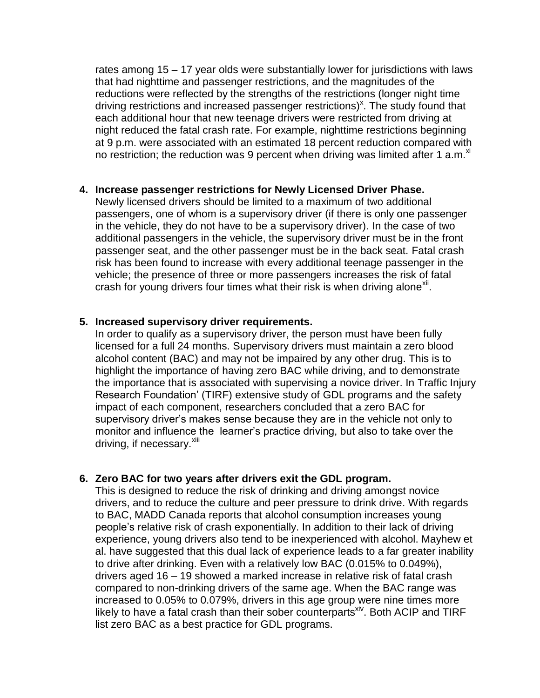rates among 15 – 17 year olds were substantially lower for jurisdictions with laws that had nighttime and passenger restrictions, and the magnitudes of the reductions were reflected by the strengths of the restrictions (longer night time driving restrictions and increased passenger restrictions)<sup>x</sup>. The study found that each additional hour that new teenage drivers were restricted from driving at night reduced the fatal crash rate. For example, nighttime restrictions beginning at 9 p.m. were associated with an estimated 18 percent reduction compared with no restriction; the reduction was 9 percent when driving was limited after 1 a.m.<sup>xi</sup>

#### **4. Increase passenger restrictions for Newly Licensed Driver Phase.**

Newly licensed drivers should be limited to a maximum of two additional passengers, one of whom is a supervisory driver (if there is only one passenger in the vehicle, they do not have to be a supervisory driver). In the case of two additional passengers in the vehicle, the supervisory driver must be in the front passenger seat, and the other passenger must be in the back seat. Fatal crash risk has been found to increase with every additional teenage passenger in the vehicle; the presence of three or more passengers increases the risk of fatal crash for young drivers four times what their risk is when driving alone<sup>xii</sup>.

### **5. Increased supervisory driver requirements.**

In order to qualify as a supervisory driver, the person must have been fully licensed for a full 24 months. Supervisory drivers must maintain a zero blood alcohol content (BAC) and may not be impaired by any other drug. This is to highlight the importance of having zero BAC while driving, and to demonstrate the importance that is associated with supervising a novice driver. In Traffic Injury Research Foundation' (TIRF) extensive study of GDL programs and the safety impact of each component, researchers concluded that a zero BAC for supervisory driver's makes sense because they are in the vehicle not only to monitor and influence the learner's practice driving, but also to take over the driving, if necessary.<sup>xiii</sup>

### **6. Zero BAC for two years after drivers exit the GDL program.**

This is designed to reduce the risk of drinking and driving amongst novice drivers, and to reduce the culture and peer pressure to drink drive. With regards to BAC, MADD Canada reports that alcohol consumption increases young people's relative risk of crash exponentially. In addition to their lack of driving experience, young drivers also tend to be inexperienced with alcohol. Mayhew et al. have suggested that this dual lack of experience leads to a far greater inability to drive after drinking. Even with a relatively low BAC (0.015% to 0.049%), drivers aged 16 – 19 showed a marked increase in relative risk of fatal crash compared to non-drinking drivers of the same age. When the BAC range was increased to 0.05% to 0.079%, drivers in this age group were nine times more likely to have a fatal crash than their sober counterparts<sup>xiv</sup>. Both ACIP and TIRF list zero BAC as a best practice for GDL programs.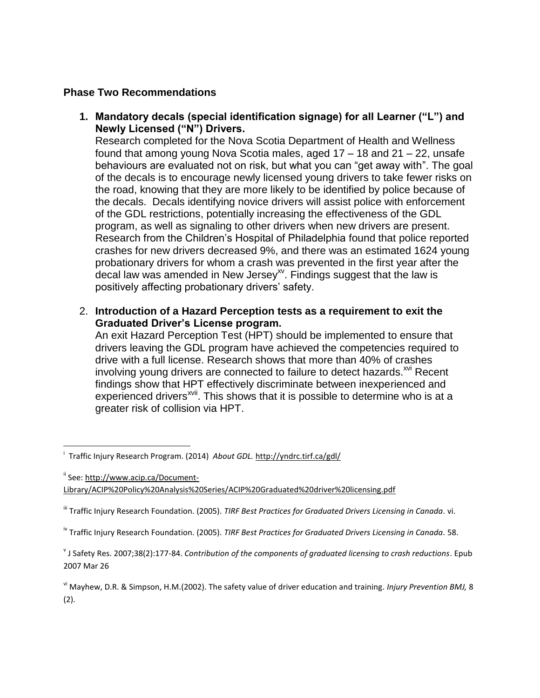#### **Phase Two Recommendations**

**1. Mandatory decals (special identification signage) for all Learner ("L") and Newly Licensed ("N") Drivers.** 

Research completed for the Nova Scotia Department of Health and Wellness found that among young Nova Scotia males, aged 17 – 18 and 21 – 22, unsafe behaviours are evaluated not on risk, but what you can "get away with". The goal of the decals is to encourage newly licensed young drivers to take fewer risks on the road, knowing that they are more likely to be identified by police because of the decals. Decals identifying novice drivers will assist police with enforcement of the GDL restrictions, potentially increasing the effectiveness of the GDL program, as well as signaling to other drivers when new drivers are present. Research from the Children's Hospital of Philadelphia found that police reported crashes for new drivers decreased 9%, and there was an estimated 1624 young probationary drivers for whom a crash was prevented in the first year after the decal law was amended in New Jersey<sup>xv</sup>. Findings suggest that the law is positively affecting probationary drivers' safety.

2. **Introduction of a Hazard Perception tests as a requirement to exit the Graduated Driver's License program.** 

An exit Hazard Perception Test (HPT) should be implemented to ensure that drivers leaving the GDL program have achieved the competencies required to drive with a full license. Research shows that more than 40% of crashes involving young drivers are connected to failure to detect hazards.<sup>xvi</sup> Recent findings show that HPT effectively discriminate between inexperienced and experienced drivers<sup>xvii</sup>. This shows that it is possible to determine who is at a greater risk of collision via HPT.

 i Traffic Injury Research Program. (2014) *About GDL.* <http://yndrc.tirf.ca/gdl/>

ii See[: http://www.acip.ca/Document-](http://www.acip.ca/Document-Library/ACIP%20Policy%20Analysis%20Series/ACIP%20Graduated%20driver%20licensing.pdf)

[Library/ACIP%20Policy%20Analysis%20Series/ACIP%20Graduated%20driver%20licensing.pdf](http://www.acip.ca/Document-Library/ACIP%20Policy%20Analysis%20Series/ACIP%20Graduated%20driver%20licensing.pdf)

iii Traffic Injury Research Foundation. (2005). *TIRF Best Practices for Graduated Drivers Licensing in Canada.* vi.

iv Traffic Injury Research Foundation. (2005). *TIRF Best Practices for Graduated Drivers Licensing in Canada.* 58.

v J Safety Res. 2007;38(2):177-84. *Contribution of the components of graduated licensing to crash reductions*. Epub 2007 Mar 26

vi Mayhew, D.R. & Simpson, H.M.(2002). The safety value of driver education and training. *Injury Prevention BMJ,* 8 (2).